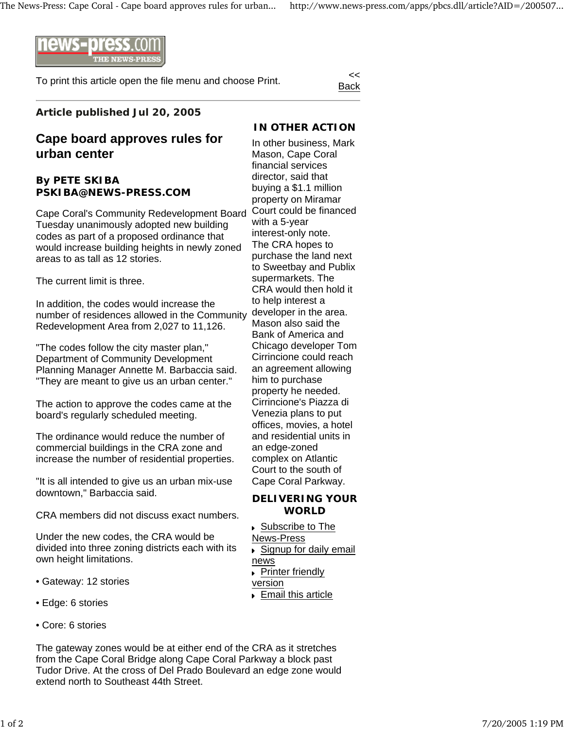

To print this article open the file menu and choose Print.

Back

## **Article published Jul 20, 2005**

# **Cape board approves rules for urban center**

### **By PETE SKIBA PSKIBA@NEWS-PRESS.COM**

Cape Coral's Community Redevelopment Board Court could be financed Tuesday unanimously adopted new building codes as part of a proposed ordinance that would increase building heights in newly zoned areas to as tall as 12 stories.

The current limit is three.

In addition, the codes would increase the number of residences allowed in the Community Redevelopment Area from 2,027 to 11,126.

"The codes follow the city master plan," Department of Community Development Planning Manager Annette M. Barbaccia said. "They are meant to give us an urban center."

The action to approve the codes came at the board's regularly scheduled meeting.

The ordinance would reduce the number of commercial buildings in the CRA zone and increase the number of residential properties.

"It is all intended to give us an urban mix-use downtown," Barbaccia said.

CRA members did not discuss exact numbers.

Under the new codes, the CRA would be divided into three zoning districts each with its own height limitations.

- Gateway: 12 stories
- Edge: 6 stories
- Core: 6 stories

The gateway zones would be at either end of the CRA as it stretches from the Cape Coral Bridge along Cape Coral Parkway a block past Tudor Drive. At the cross of Del Prado Boulevard an edge zone would extend north to Southeast 44th Street.

## **IN OTHER ACTION**

In other business, Mark Mason, Cape Coral financial services director, said that buying a \$1.1 million property on Miramar with a 5-year interest-only note. The CRA hopes to purchase the land next to Sweetbay and Publix supermarkets. The CRA would then hold it to help interest a developer in the area. Mason also said the Bank of America and Chicago developer Tom Cirrincione could reach an agreement allowing him to purchase property he needed. Cirrincione's Piazza di Venezia plans to put offices, movies, a hotel and residential units in an edge-zoned complex on Atlantic Court to the south of Cape Coral Parkway.

#### **DELIVERING YOUR WORLD**

 Subscribe to The News-Press

- ► Signup for daily email
- news

 $\overline{\phantom{a}}$  Printer friendly version

Email this article